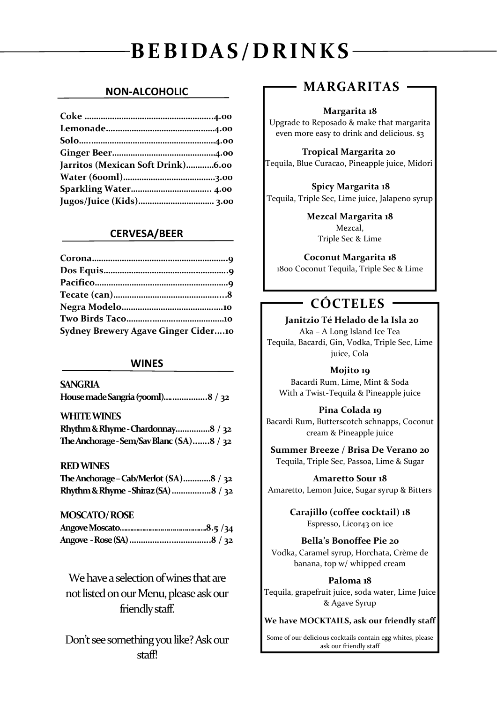# **BEBIDAS/DRINKS**

## **NON-ALCOHOLIC**

| Jarritos (Mexican Soft Drink)6.00 |  |
|-----------------------------------|--|
|                                   |  |
|                                   |  |
| Jugos/Juice (Kids) 3.00           |  |

## **CERVESA/BEER**

| <b>Sydney Brewery Agave Ginger Cider10</b> |  |
|--------------------------------------------|--|

## **WINES**

**SANGRIA House made Sangria (700ml)….…….……..8 / 32**

| <b>WHITE WINES</b>                       |  |
|------------------------------------------|--|
| Rhythm & Rhyme - Chardonnay8 / 32        |  |
| The Anchorage - Sem/Sav Blanc (SA)8 / 32 |  |

## **RED WINES**

| The Anchorage – Cab/Merlot $(SA)$ 8 / 32 |  |
|------------------------------------------|--|
| Rhythm & Rhyme - Shiraz (SA) 8 / 32      |  |

### **MOSCATO/ ROSE**

We have a selection of wines that are not listed on our Menu, please ask our friendly staff.

Don't see something you like? Ask our staff!

# **MARGARITAS**

### **Margarita 18**

Upgrade to Reposado & make that margarita even more easy to drink and delicious. \$3

 **Tropical Margarita 20** Tequila, Blue Curacao, Pineapple juice, Midori

 **Spicy Margarita 18** Tequila, Triple Sec, Lime juice, Jalapeno syrup

> **Mezcal Margarita 18** Mezcal, Triple Sec & Lime

**Coconut Margarita 18**

1800 Coconut Tequila, Triple Sec & Lime

# **CÓCTELES**

 **Janitzio Té Helado de la Isla 20 6**Aka – A Long Island Ice Tea Tequila, Bacardi, Gin, Vodka, Triple Sec, Lime juice, Cola

**Mojito 19** Bacardi Rum, Lime, Mint & Soda With a Twist-Tequila & Pineapple juice

**Pina Colada 19**

Bacardi Rum, Butterscotch schnapps, Coconut cream & Pineapple juice

**Summer Breeze / Brisa De Verano 20** Tequila, Triple Sec, Passoa, Lime & Sugar

**Amaretto Sour 18** Amaretto, Lemon Juice, Sugar syrup & Bitters

> **Carajillo (coffee cocktail) 18** Espresso, Licor43 on ice

**Bella's Bonoffee Pie 20** Vodka, Caramel syrup, Horchata, Crème de banana, top w/ whipped cream

**Paloma 18** Tequila, grapefruit juice, soda water, Lime Juice & Agave Syrup

**We have MOCKTAILS, ask our friendly staff**

Some of our delicious cocktails contain egg whites, please ask our friendly staff